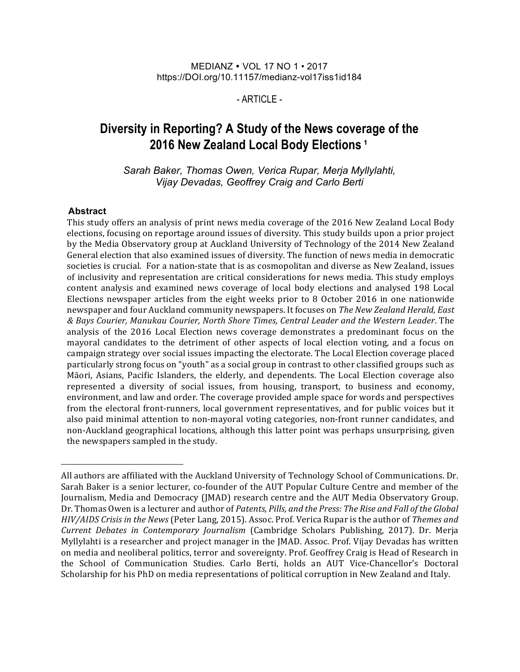#### MEDIANZ • VOL 17 NO 1 • 2017 https://DOI.org/10.11157/medianz-vol17iss1id184

 $-$  ARTICLE $-$ 

# **Diversity in Reporting? A Study of the News coverage of the 2016 New Zealand Local Body Elections <sup>1</sup>**

*Sarah Baker, Thomas Owen, Verica Rupar, Merja Myllylahti, Vijay Devadas, Geoffrey Craig and Carlo Berti*

#### **Abstract**

This study offers an analysis of print news media coverage of the 2016 New Zealand Local Body elections, focusing on reportage around issues of diversity. This study builds upon a prior project by the Media Observatory group at Auckland University of Technology of the 2014 New Zealand General election that also examined issues of diversity. The function of news media in democratic societies is crucial. For a nation-state that is as cosmopolitan and diverse as New Zealand, issues of inclusivity and representation are critical considerations for news media. This study employs content analysis and examined news coverage of local body elections and analysed 198 Local Elections newspaper articles from the eight weeks prior to 8 October 2016 in one nationwide newspaper and four Auckland community newspapers. It focuses on *The New Zealand Herald, East & Bays Courier, Manukau Courier, North Shore Times, Central Leader and the Western Leader*. The analysis of the 2016 Local Election news coverage demonstrates a predominant focus on the mayoral candidates to the detriment of other aspects of local election voting, and a focus on campaign strategy over social issues impacting the electorate. The Local Election coverage placed particularly strong focus on "youth" as a social group in contrast to other classified groups such as Māori, Asians, Pacific Islanders, the elderly, and dependents. The Local Election coverage also represented a diversity of social issues, from housing, transport, to business and economy, environment, and law and order. The coverage provided ample space for words and perspectives from the electoral front-runners, local government representatives, and for public voices but it also paid minimal attention to non-mayoral voting categories, non-front runner candidates, and non-Auckland geographical locations, although this latter point was perhaps unsurprising, given the newspapers sampled in the study.

All authors are affiliated with the Auckland University of Technology School of Communications. Dr. Sarah Baker is a senior lecturer, co-founder of the AUT Popular Culture Centre and member of the Journalism, Media and Democracy (JMAD) research centre and the AUT Media Observatory Group. Dr. Thomas Owen is a lecturer and author of *Patents, Pills, and the Press: The Rise and Fall of the Global HIV/AIDS Crisis in the News* (Peter Lang, 2015). Assoc. Prof. Verica Rupar is the author of *Themes and Current Debates in Contemporary Journalism* (Cambridge Scholars Publishing, 2017). Dr. Merja Myllylahti is a researcher and project manager in the JMAD. Assoc. Prof. Vijay Devadas has written on media and neoliberal politics, terror and sovereignty. Prof. Geoffrey Craig is Head of Research in the School of Communication Studies. Carlo Berti, holds an AUT Vice-Chancellor's Doctoral Scholarship for his PhD on media representations of political corruption in New Zealand and Italy.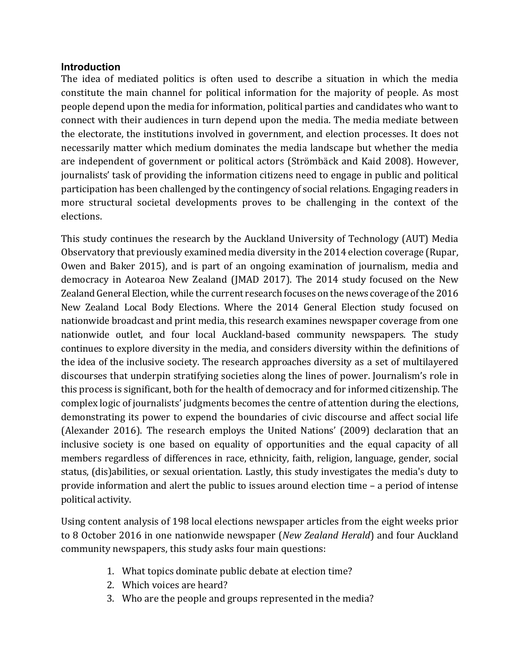#### **Introduction**

The idea of mediated politics is often used to describe a situation in which the media constitute the main channel for political information for the majority of people. As most people depend upon the media for information, political parties and candidates who want to connect with their audiences in turn depend upon the media. The media mediate between the electorate, the institutions involved in government, and election processes. It does not necessarily matter which medium dominates the media landscape but whether the media are independent of government or political actors (Strömbäck and Kaid 2008). However, journalists' task of providing the information citizens need to engage in public and political participation has been challenged by the contingency of social relations. Engaging readers in more structural societal developments proves to be challenging in the context of the elections. 

This study continues the research by the Auckland University of Technology (AUT) Media Observatory that previously examined media diversity in the 2014 election coverage (Rupar, Owen and Baker 2015), and is part of an ongoing examination of journalism, media and democracy in Aotearoa New Zealand (JMAD 2017). The 2014 study focused on the New Zealand General Election, while the current research focuses on the news coverage of the 2016 New Zealand Local Body Elections. Where the 2014 General Election study focused on nationwide broadcast and print media, this research examines newspaper coverage from one nationwide outlet, and four local Auckland-based community newspapers. The study continues to explore diversity in the media, and considers diversity within the definitions of the idea of the inclusive society. The research approaches diversity as a set of multilayered discourses that underpin stratifying societies along the lines of power. Journalism's role in this process is significant, both for the health of democracy and for informed citizenship. The complex logic of journalists' judgments becomes the centre of attention during the elections, demonstrating its power to expend the boundaries of civic discourse and affect social life (Alexander 2016). The research employs the United Nations' (2009) declaration that an inclusive society is one based on equality of opportunities and the equal capacity of all members regardless of differences in race, ethnicity, faith, religion, language, gender, social status, (dis)abilities, or sexual orientation. Lastly, this study investigates the media's duty to provide information and alert the public to issues around election time  $-$  a period of intense political activity.

Using content analysis of 198 local elections newspaper articles from the eight weeks prior to 8 October 2016 in one nationwide newspaper (*New Zealand Herald*) and four Auckland community newspapers, this study asks four main questions:

- 1. What topics dominate public debate at election time?
- 2. Which voices are heard?
- 3. Who are the people and groups represented in the media?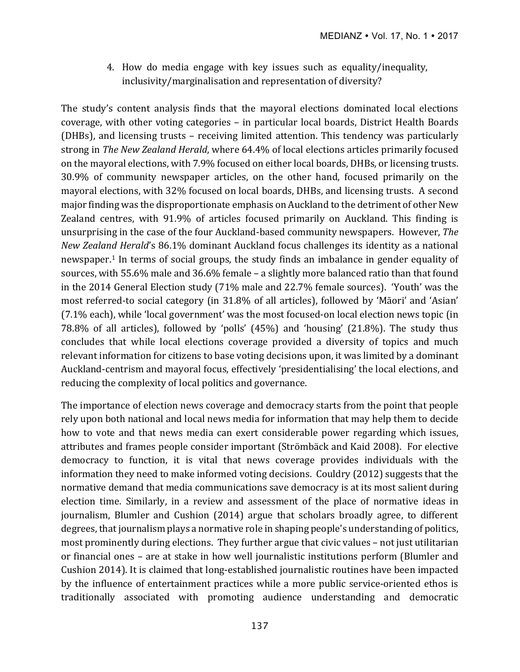4. How do media engage with key issues such as equality/inequality, inclusivity/marginalisation and representation of diversity?

The study's content analysis finds that the mayoral elections dominated local elections coverage, with other voting categories – in particular local boards, District Health Boards (DHBs), and licensing trusts – receiving limited attention. This tendency was particularly strong in The New Zealand Herald, where 64.4% of local elections articles primarily focused on the mayoral elections, with 7.9% focused on either local boards, DHBs, or licensing trusts. 30.9% of community newspaper articles, on the other hand, focused primarily on the mayoral elections, with 32% focused on local boards, DHBs, and licensing trusts. A second major finding was the disproportionate emphasis on Auckland to the detriment of other New Zealand centres, with 91.9% of articles focused primarily on Auckland. This finding is unsurprising in the case of the four Auckland-based community newspapers. However, *The New Zealand Herald's* 86.1% dominant Auckland focus challenges its identity as a national newspaper.<sup>1</sup> In terms of social groups, the study finds an imbalance in gender equality of sources, with 55.6% male and 36.6% female – a slightly more balanced ratio than that found in the 2014 General Election study  $(71\%$  male and 22.7% female sources). 'Youth' was the most referred-to social category (in 31.8% of all articles), followed by 'Māori' and 'Asian' (7.1% each), while 'local government' was the most focused-on local election news topic (in 78.8% of all articles), followed by 'polls'  $(45%)$  and 'housing'  $(21.8%)$ . The study thus concludes that while local elections coverage provided a diversity of topics and much relevant information for citizens to base voting decisions upon, it was limited by a dominant Auckland-centrism and mayoral focus, effectively 'presidentialising' the local elections, and reducing the complexity of local politics and governance.

The importance of election news coverage and democracy starts from the point that people rely upon both national and local news media for information that may help them to decide how to vote and that news media can exert considerable power regarding which issues, attributes and frames people consider important (Strömbäck and Kaid 2008). For elective democracy to function, it is vital that news coverage provides individuals with the information they need to make informed voting decisions. Couldry  $(2012)$  suggests that the normative demand that media communications save democracy is at its most salient during election time. Similarly, in a review and assessment of the place of normative ideas in journalism, Blumler and Cushion (2014) argue that scholars broadly agree, to different degrees, that journalism plays a normative role in shaping people's understanding of politics, most prominently during elections. They further argue that civic values – not just utilitarian or financial ones – are at stake in how well journalistic institutions perform (Blumler and Cushion 2014). It is claimed that long-established journalistic routines have been impacted by the influence of entertainment practices while a more public service-oriented ethos is traditionally associated with promoting audience understanding and democratic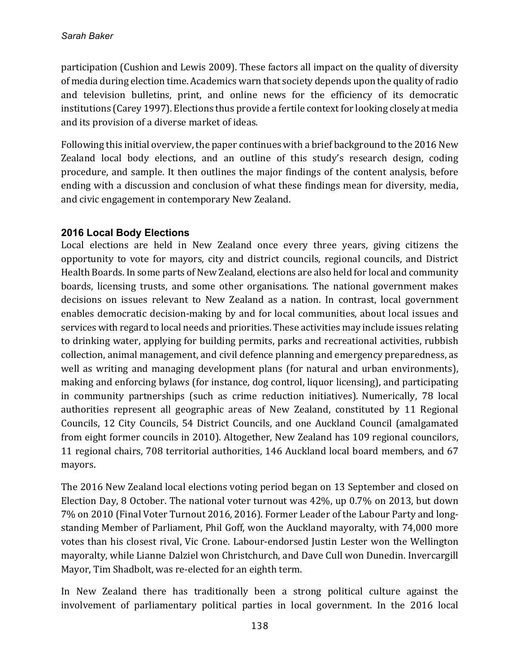participation (Cushion and Lewis 2009). These factors all impact on the quality of diversity of media during election time. Academics warn that society depends upon the quality of radio and television bulletins, print, and online news for the efficiency of its democratic institutions (Carey 1997). Elections thus provide a fertile context for looking closely at media and its provision of a diverse market of ideas.

Following this initial overview, the paper continues with a brief background to the 2016 New Zealand local body elections, and an outline of this study's research design, coding procedure, and sample. It then outlines the major findings of the content analysis, before ending with a discussion and conclusion of what these findings mean for diversity, media, and civic engagement in contemporary New Zealand.

# **2016 Local Body Elections**

Local elections are held in New Zealand once every three years, giving citizens the opportunity to vote for mayors, city and district councils, regional councils, and District Health Boards. In some parts of New Zealand, elections are also held for local and community boards, licensing trusts, and some other organisations. The national government makes decisions on issues relevant to New Zealand as a nation. In contrast, local government enables democratic decision-making by and for local communities, about local issues and services with regard to local needs and priorities. These activities may include issues relating to drinking water, applying for building permits, parks and recreational activities, rubbish collection, animal management, and civil defence planning and emergency preparedness, as well as writing and managing development plans (for natural and urban environments), making and enforcing bylaws (for instance, dog control, liquor licensing), and participating in community partnerships (such as crime reduction initiatives). Numerically, 78 local authorities represent all geographic areas of New Zealand, constituted by 11 Regional Councils, 12 City Councils, 54 District Councils, and one Auckland Council (amalgamated from eight former councils in 2010). Altogether, New Zealand has 109 regional councilors, 11 regional chairs, 708 territorial authorities, 146 Auckland local board members, and 67 mayors. 

The 2016 New Zealand local elections voting period began on 13 September and closed on Election Day, 8 October. The national voter turnout was  $42\%$ , up 0.7% on 2013, but down 7% on 2010 (Final Voter Turnout 2016, 2016). Former Leader of the Labour Party and longstanding Member of Parliament, Phil Goff, won the Auckland mayoralty, with 74,000 more votes than his closest rival, Vic Crone. Labour-endorsed Justin Lester won the Wellington mayoralty, while Lianne Dalziel won Christchurch, and Dave Cull won Dunedin. Invercargill Mayor, Tim Shadbolt, was re-elected for an eighth term.

In New Zealand there has traditionally been a strong political culture against the involvement of parliamentary political parties in local government. In the 2016 local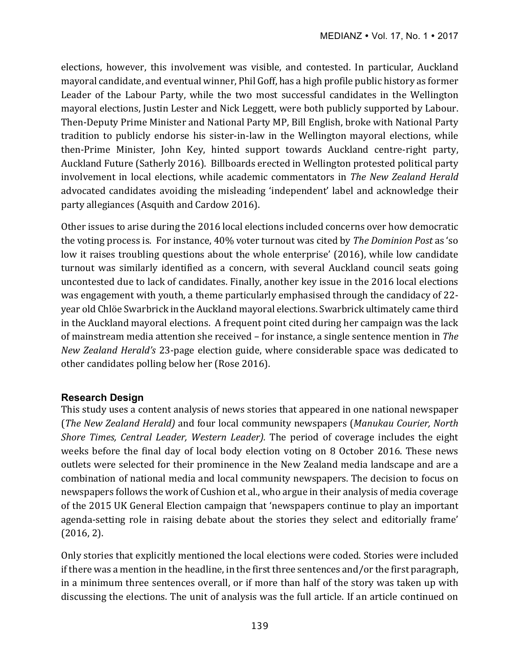elections, however, this involvement was visible, and contested. In particular, Auckland mayoral candidate, and eventual winner, Phil Goff, has a high profile public history as former Leader of the Labour Party, while the two most successful candidates in the Wellington mayoral elections, Justin Lester and Nick Leggett, were both publicly supported by Labour. Then-Deputy Prime Minister and National Party MP, Bill English, broke with National Party tradition to publicly endorse his sister-in-law in the Wellington mayoral elections, while then-Prime Minister, John Key, hinted support towards Auckland centre-right party, Auckland Future (Satherly 2016). Billboards erected in Wellington protested political party involvement in local elections, while academic commentators in *The New Zealand Herald* advocated candidates avoiding the misleading 'independent' label and acknowledge their party allegiances (Asquith and Cardow 2016).

Other issues to arise during the 2016 local elections included concerns over how democratic the voting process is. For instance, 40% voter turnout was cited by *The Dominion Post* as 'so low it raises troubling questions about the whole enterprise' (2016), while low candidate turnout was similarly identified as a concern, with several Auckland council seats going uncontested due to lack of candidates. Finally, another key issue in the 2016 local elections was engagement with youth, a theme particularly emphasised through the candidacy of 22year old Chlöe Swarbrick in the Auckland mayoral elections. Swarbrick ultimately came third in the Auckland mayoral elections. A frequent point cited during her campaign was the lack of mainstream media attention she received – for instance, a single sentence mention in *The New Zealand Herald's* 23-page election guide, where considerable space was dedicated to other candidates polling below her (Rose 2016).

# **Research Design**

This study uses a content analysis of news stories that appeared in one national newspaper (*The New Zealand Herald*) and four local community newspapers (*Manukau Courier, North Shore Times, Central Leader, Western Leader).* The period of coverage includes the eight weeks before the final day of local body election voting on 8 October 2016. These news outlets were selected for their prominence in the New Zealand media landscape and are a combination of national media and local community newspapers. The decision to focus on newspapers follows the work of Cushion et al., who argue in their analysis of media coverage of the 2015 UK General Election campaign that 'newspapers continue to play an important agenda-setting role in raising debate about the stories they select and editorially frame'  $(2016, 2)$ .

Only stories that explicitly mentioned the local elections were coded. Stories were included if there was a mention in the headline, in the first three sentences and/or the first paragraph, in a minimum three sentences overall, or if more than half of the story was taken up with discussing the elections. The unit of analysis was the full article. If an article continued on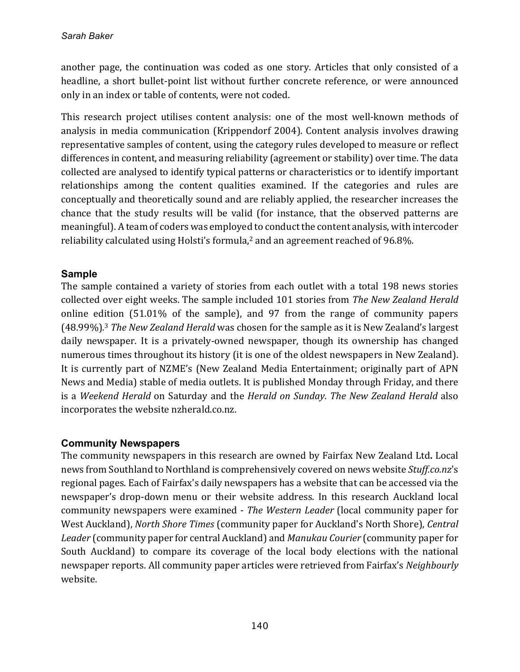another page, the continuation was coded as one story. Articles that only consisted of a headline, a short bullet-point list without further concrete reference, or were announced only in an index or table of contents, were not coded.

This research project utilises content analysis: one of the most well-known methods of analysis in media communication (Krippendorf 2004). Content analysis involves drawing representative samples of content, using the category rules developed to measure or reflect differences in content, and measuring reliability (agreement or stability) over time. The data collected are analysed to identify typical patterns or characteristics or to identify important relationships among the content qualities examined. If the categories and rules are conceptually and theoretically sound and are reliably applied, the researcher increases the chance that the study results will be valid (for instance, that the observed patterns are meaningful). A team of coders was employed to conduct the content analysis, with intercoder reliability calculated using Holsti's formula,<sup>2</sup> and an agreement reached of 96.8%.

#### **Sample**

The sample contained a variety of stories from each outlet with a total 198 news stories collected over eight weeks. The sample included 101 stories from *The New Zealand Herald* online edition  $(51.01\%$  of the sample), and 97 from the range of community papers (48.99%).<sup>3</sup> The New Zealand Herald was chosen for the sample as it is New Zealand's largest daily newspaper. It is a privately-owned newspaper, though its ownership has changed numerous times throughout its history (it is one of the oldest newspapers in New Zealand). It is currently part of NZME's (New Zealand Media Entertainment; originally part of APN News and Media) stable of media outlets. It is published Monday through Friday, and there is a Weekend Herald on Saturday and the *Herald on Sunday*. The New Zealand Herald also incorporates the website nzherald.co.nz.

#### **Community Newspapers**

The community newspapers in this research are owned by Fairfax New Zealand Ltd. Local news from Southland to Northland is comprehensively covered on news website *Stuff.co.nz's* regional pages. Each of Fairfax's daily newspapers has a website that can be accessed via the newspaper's drop-down menu or their website address. In this research Auckland local community newspapers were examined - *The Western Leader* (local community paper for West Auckland), *North Shore Times* (community paper for Auckland's North Shore), *Central* Leader (community paper for central Auckland) and *Manukau Courier* (community paper for South Auckland) to compare its coverage of the local body elections with the national newspaper reports. All community paper articles were retrieved from Fairfax's *Neighbourly* website.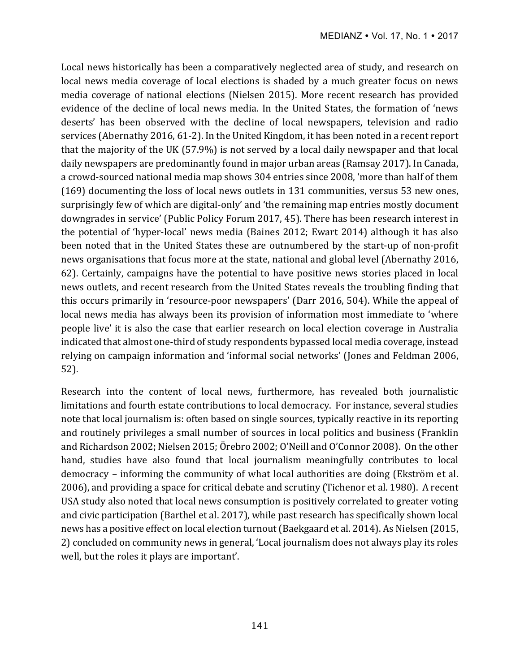Local news historically has been a comparatively neglected area of study, and research on local news media coverage of local elections is shaded by a much greater focus on news media coverage of national elections (Nielsen 2015). More recent research has provided evidence of the decline of local news media. In the United States, the formation of 'news deserts' has been observed with the decline of local newspapers, television and radio services (Abernathy 2016, 61-2). In the United Kingdom, it has been noted in a recent report that the majority of the UK  $(57.9%)$  is not served by a local daily newspaper and that local daily newspapers are predominantly found in major urban areas (Ramsay 2017). In Canada, a crowd-sourced national media map shows 304 entries since 2008, 'more than half of them (169) documenting the loss of local news outlets in 131 communities, versus 53 new ones, surprisingly few of which are digital-only' and 'the remaining map entries mostly document downgrades in service' (Public Policy Forum 2017, 45). There has been research interest in the potential of 'hyper-local' news media (Baines 2012; Ewart 2014) although it has also been noted that in the United States these are outnumbered by the start-up of non-profit news organisations that focus more at the state, national and global level (Abernathy 2016, 62). Certainly, campaigns have the potential to have positive news stories placed in local news outlets, and recent research from the United States reveals the troubling finding that this occurs primarily in 'resource-poor newspapers' (Darr 2016, 504). While the appeal of local news media has always been its provision of information most immediate to 'where people live' it is also the case that earlier research on local election coverage in Australia indicated that almost one-third of study respondents bypassed local media coverage, instead relying on campaign information and 'informal social networks' (Jones and Feldman 2006, 52).

Research into the content of local news, furthermore, has revealed both journalistic limitations and fourth estate contributions to local democracy. For instance, several studies note that local journalism is: often based on single sources, typically reactive in its reporting and routinely privileges a small number of sources in local politics and business (Franklin and Richardson 2002; Nielsen 2015; Örebro 2002; O'Neill and O'Connor 2008). On the other hand, studies have also found that local journalism meaningfully contributes to local democracy – informing the community of what local authorities are doing (Ekström et al. 2006), and providing a space for critical debate and scrutiny (Tichenor et al. 1980). A recent USA study also noted that local news consumption is positively correlated to greater voting and civic participation (Barthel et al. 2017), while past research has specifically shown local news has a positive effect on local election turnout (Baekgaard et al. 2014). As Nielsen (2015, 2) concluded on community news in general, 'Local journalism does not always play its roles well, but the roles it plays are important'.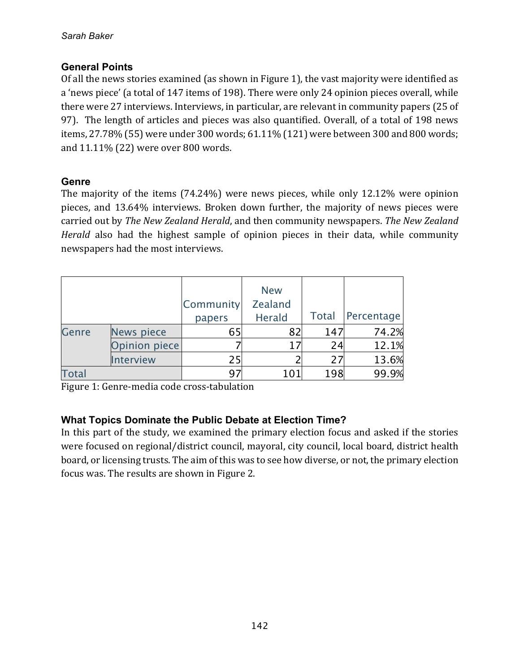#### **General Points**

Of all the news stories examined (as shown in Figure 1), the vast majority were identified as a 'news piece' (a total of 147 items of 198). There were only 24 opinion pieces overall, while there were 27 interviews. Interviews, in particular, are relevant in community papers (25 of 97). The length of articles and pieces was also quantified. Overall, of a total of 198 news items, 27.78% (55) were under 300 words; 61.11% (121) were between 300 and 800 words; and 11.11% (22) were over 800 words.

#### **Genre**

The majority of the items  $(74.24%)$  were news pieces, while only 12.12% were opinion pieces, and 13.64% interviews. Broken down further, the majority of news pieces were carried out by *The New Zealand Herald*, and then community newspapers. The New Zealand *Herald* also had the highest sample of opinion pieces in their data, while community newspapers had the most interviews.

|              |                   | <b>Community</b><br>papers | <b>New</b><br><b>Zealand</b><br>Herald | <b>Total</b> | Percentage |
|--------------|-------------------|----------------------------|----------------------------------------|--------------|------------|
| Genre        | <b>News piece</b> | 65                         | 82                                     | 147          | 74.2%      |
|              | Opinion piece     |                            | 17                                     | 24           | 12.1%      |
|              | Interview         | 25                         |                                        | 27           | 13.6%      |
| <b>Total</b> |                   | 97                         | 101                                    | 198          | 99.9%      |

Figure 1: Genre-media code cross-tabulation

# **What Topics Dominate the Public Debate at Election Time?**

In this part of the study, we examined the primary election focus and asked if the stories were focused on regional/district council, mayoral, city council, local board, district health board, or licensing trusts. The aim of this was to see how diverse, or not, the primary election focus was. The results are shown in Figure 2.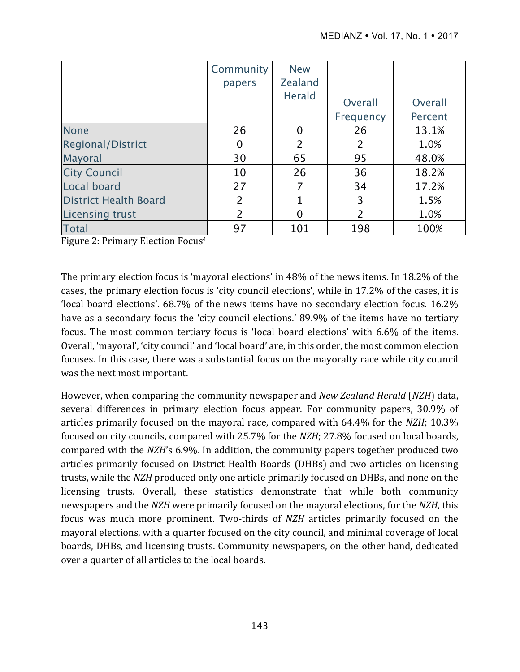|                              | Community | <b>New</b>     |           |         |
|------------------------------|-----------|----------------|-----------|---------|
|                              | papers    | <b>Zealand</b> |           |         |
|                              |           | <b>Herald</b>  | Overall   | Overall |
|                              |           |                | Frequency | Percent |
| <b>None</b>                  | 26        | 0              | 26        | 13.1%   |
| <b>Regional/District</b>     | $\Omega$  | $\overline{2}$ | 2         | 1.0%    |
| Mayoral                      | 30        | 65             | 95        | 48.0%   |
| <b>City Council</b>          | 10        | 26             | 36        | 18.2%   |
| Local board                  | 27        | 7              | 34        | 17.2%   |
| <b>District Health Board</b> | 2         | 1              | 3         | 1.5%    |
| <b>Licensing trust</b>       | 2         | 0              | 2         | 1.0%    |
| <b>Total</b>                 | 97        | 101            | 198       | 100%    |

Figure 2: Primary Election Focus<sup>4</sup>

The primary election focus is 'mayoral elections' in 48% of the news items. In 18.2% of the cases, the primary election focus is 'city council elections', while in 17.2% of the cases, it is 'local board elections'.  $68.7\%$  of the news items have no secondary election focus.  $16.2\%$ have as a secondary focus the 'city council elections.' 89.9% of the items have no tertiary focus. The most common tertiary focus is 'local board elections' with 6.6% of the items. Overall, 'mayoral', 'city council' and 'local board' are, in this order, the most common election focuses. In this case, there was a substantial focus on the mayoralty race while city council was the next most important.

However, when comparing the community newspaper and *New Zealand Herald* (*NZH*) data, several differences in primary election focus appear. For community papers, 30.9% of articles primarily focused on the mayoral race, compared with 64.4% for the *NZH*; 10.3% focused on city councils, compared with 25.7% for the *NZH*; 27.8% focused on local boards, compared with the *NZH*'s 6.9%. In addition, the community papers together produced two articles primarily focused on District Health Boards (DHBs) and two articles on licensing trusts, while the *NZH* produced only one article primarily focused on DHBs, and none on the licensing trusts. Overall, these statistics demonstrate that while both community newspapers and the *NZH* were primarily focused on the mayoral elections, for the *NZH*, this focus was much more prominent. Two-thirds of *NZH* articles primarily focused on the mayoral elections, with a quarter focused on the city council, and minimal coverage of local boards, DHBs, and licensing trusts. Community newspapers, on the other hand, dedicated over a quarter of all articles to the local boards.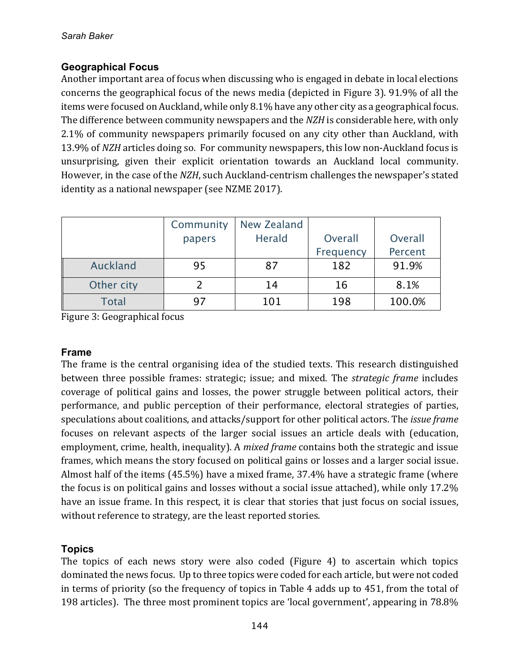# **Geographical Focus**

Another important area of focus when discussing who is engaged in debate in local elections concerns the geographical focus of the news media (depicted in Figure 3). 91.9% of all the items were focused on Auckland, while only 8.1% have any other city as a geographical focus. The difference between community newspapers and the *NZH* is considerable here, with only 2.1% of community newspapers primarily focused on any city other than Auckland, with 13.9% of *NZH* articles doing so. For community newspapers, this low non-Auckland focus is unsurprising, given their explicit orientation towards an Auckland local community. However, in the case of the *NZH*, such Auckland-centrism challenges the newspaper's stated identity as a national newspaper (see NZME 2017).

|              | Community | New Zealand |           |         |
|--------------|-----------|-------------|-----------|---------|
|              | papers    | Herald      | Overall   | Overall |
|              |           |             | Frequency | Percent |
| Auckland     | 95        | 87          | 182       | 91.9%   |
| Other city   |           | 14          | 16        | 8.1%    |
| <b>Total</b> |           | 101         | 198       | 100.0%  |

Figure 3: Geographical focus

#### **Frame**

The frame is the central organising idea of the studied texts. This research distinguished between three possible frames: strategic; issue; and mixed. The *strategic frame* includes coverage of political gains and losses, the power struggle between political actors, their performance, and public perception of their performance, electoral strategies of parties, speculations about coalitions, and attacks/support for other political actors. The *issue frame* focuses on relevant aspects of the larger social issues an article deals with (education, employment, crime, health, inequality). A *mixed frame* contains both the strategic and issue frames, which means the story focused on political gains or losses and a larger social issue. Almost half of the items  $(45.5\%)$  have a mixed frame, 37.4% have a strategic frame (where the focus is on political gains and losses without a social issue attached), while only 17.2% have an issue frame. In this respect, it is clear that stories that just focus on social issues, without reference to strategy, are the least reported stories.

# **Topics**

The topics of each news story were also coded (Figure 4) to ascertain which topics dominated the news focus. Up to three topics were coded for each article, but were not coded in terms of priority (so the frequency of topics in Table 4 adds up to  $451$ , from the total of 198 articles). The three most prominent topics are 'local government', appearing in 78.8%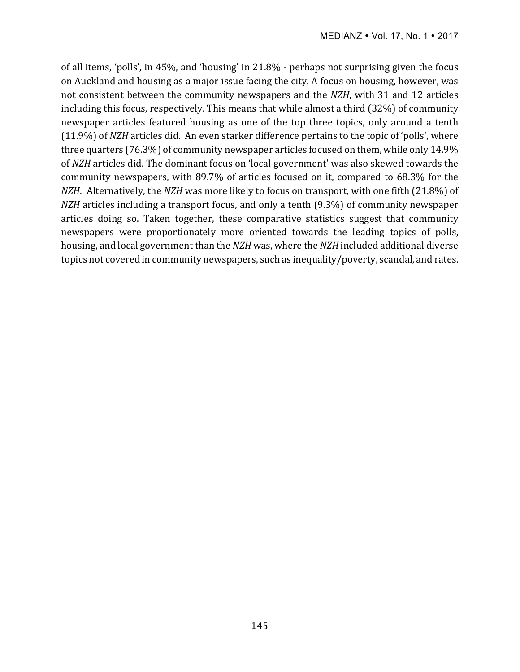of all items, 'polls', in  $45\%$ , and 'housing' in  $21.8\%$  - perhaps not surprising given the focus on Auckland and housing as a major issue facing the city. A focus on housing, however, was not consistent between the community newspapers and the *NZH*, with 31 and 12 articles including this focus, respectively. This means that while almost a third (32%) of community newspaper articles featured housing as one of the top three topics, only around a tenth (11.9%) of *NZH* articles did. An even starker difference pertains to the topic of 'polls', where three quarters  $(76.3\%)$  of community newspaper articles focused on them, while only  $14.9\%$ of *NZH* articles did. The dominant focus on 'local government' was also skewed towards the community newspapers, with 89.7% of articles focused on it, compared to 68.3% for the *NZH*. Alternatively, the *NZH* was more likely to focus on transport, with one fifth (21.8%) of *NZH* articles including a transport focus, and only a tenth (9.3%) of community newspaper articles doing so. Taken together, these comparative statistics suggest that community newspapers were proportionately more oriented towards the leading topics of polls, housing, and local government than the *NZH* was, where the *NZH* included additional diverse topics not covered in community newspapers, such as inequality/poverty, scandal, and rates.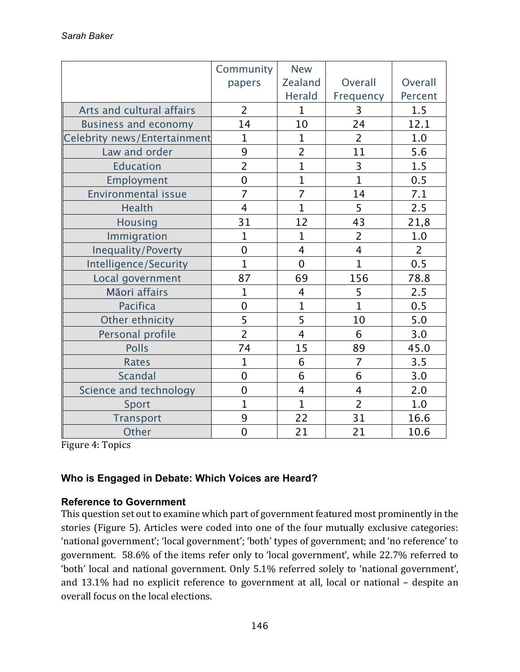|                              | Community      | <b>New</b>     |                |                |
|------------------------------|----------------|----------------|----------------|----------------|
|                              | papers         | <b>Zealand</b> | Overall        | Overall        |
|                              |                | <b>Herald</b>  | Frequency      | Percent        |
| Arts and cultural affairs    | $\overline{2}$ | $\mathbf{1}$   | 3              | 1.5            |
| <b>Business and economy</b>  | 14             | 10             | 24             | 12.1           |
| Celebrity news/Entertainment | 1              | $\mathbf 1$    | $\overline{2}$ | 1.0            |
| Law and order                | 9              | $\overline{2}$ | 11             | 5.6            |
| <b>Education</b>             | $\overline{2}$ | $\overline{1}$ | 3              | 1.5            |
| Employment                   | $\overline{0}$ | $\overline{1}$ | $\overline{1}$ | 0.5            |
| <b>Environmental issue</b>   | $\overline{7}$ | $\overline{7}$ | 14             | 7.1            |
| Health                       | $\overline{4}$ | $\overline{1}$ | 5              | 2.5            |
| <b>Housing</b>               | 31             | 12             | 43             | 21,8           |
| Immigration                  | $\overline{1}$ | $\mathbf{1}$   | $\overline{2}$ | 1.0            |
| <b>Inequality/Poverty</b>    | $\overline{0}$ | $\overline{4}$ | $\overline{4}$ | $\overline{2}$ |
| Intelligence/Security        | $\overline{1}$ | $\overline{0}$ | $\overline{1}$ | 0.5            |
| Local government             | 87             | 69             | 156            | 78.8           |
| Māori affairs                | $\mathbf 1$    | $\overline{4}$ | 5              | 2.5            |
| <b>Pacifica</b>              | $\overline{0}$ | $\overline{1}$ | $\overline{1}$ | 0.5            |
| Other ethnicity              | 5              | 5              | 10             | 5.0            |
| Personal profile             | $\overline{2}$ | $\overline{4}$ | 6              | 3.0            |
| <b>Polls</b>                 | 74             | 15             | 89             | 45.0           |
| <b>Rates</b>                 | $\mathbf{1}$   | 6              | $\overline{7}$ | 3.5            |
| <b>Scandal</b>               | $\overline{0}$ | 6              | 6              | 3.0            |
| Science and technology       | $\overline{0}$ | $\overline{4}$ | 4              | 2.0            |
| Sport                        | $\overline{1}$ | $\mathbf{1}$   | $\overline{2}$ | 1.0            |
| <b>Transport</b>             | 9              | 22             | 31             | 16.6           |
| Other                        | $\overline{0}$ | 21             | 21             | 10.6           |

Figure 4: Topics

# **Who is Engaged in Debate: Which Voices are Heard?**

#### **Reference to Government**

This question set out to examine which part of government featured most prominently in the stories (Figure 5). Articles were coded into one of the four mutually exclusive categories: 'national government'; 'local government'; 'both' types of government; and 'no reference' to government. 58.6% of the items refer only to 'local government', while 22.7% referred to 'both' local and national government. Only 5.1% referred solely to 'national government', and 13.1% had no explicit reference to government at all, local or national - despite an overall focus on the local elections.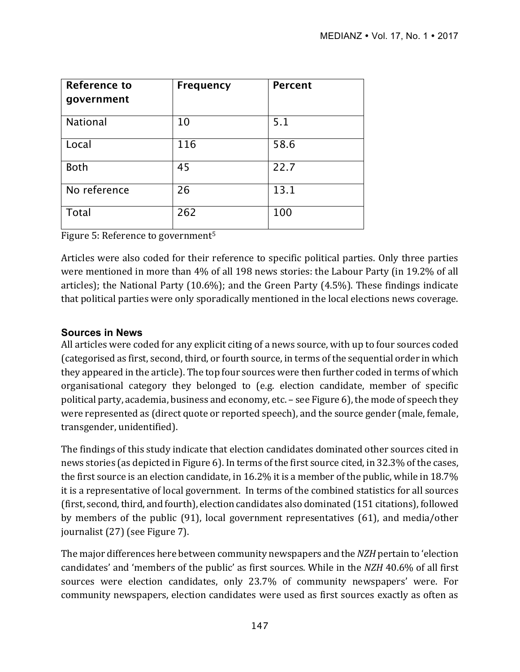| <b>Reference to</b><br>government | <b>Frequency</b> | <b>Percent</b> |
|-----------------------------------|------------------|----------------|
| <b>National</b>                   | 10               | 5.1            |
| Local                             | 116              | 58.6           |
| <b>Both</b>                       | 45               | 22.7           |
| No reference                      | 26               | 13.1           |
| Total                             | 262              | 100            |

Figure 5: Reference to government<sup>5</sup>

Articles were also coded for their reference to specific political parties. Only three parties were mentioned in more than 4% of all 198 news stories: the Labour Party (in 19.2% of all articles); the National Party  $(10.6\%)$ ; and the Green Party  $(4.5\%)$ . These findings indicate that political parties were only sporadically mentioned in the local elections news coverage.

#### **Sources in News**

All articles were coded for any explicit citing of a news source, with up to four sources coded (categorised as first, second, third, or fourth source, in terms of the sequential order in which they appeared in the article). The top four sources were then further coded in terms of which organisational category they belonged to (e.g. election candidate, member of specific political party, academia, business and economy, etc. – see Figure 6), the mode of speech they were represented as (direct quote or reported speech), and the source gender (male, female, transgender, unidentified).

The findings of this study indicate that election candidates dominated other sources cited in news stories (as depicted in Figure 6). In terms of the first source cited, in 32.3% of the cases, the first source is an election candidate, in 16.2% it is a member of the public, while in 18.7% it is a representative of local government. In terms of the combined statistics for all sources (first, second, third, and fourth), election candidates also dominated (151 citations), followed by members of the public (91), local government representatives (61), and media/other journalist (27) (see Figure 7).

The major differences here between community newspapers and the *NZH* pertain to 'election candidates' and 'members of the public' as first sources. While in the *NZH* 40.6% of all first sources were election candidates, only 23.7% of community newspapers' were. For community newspapers, election candidates were used as first sources exactly as often as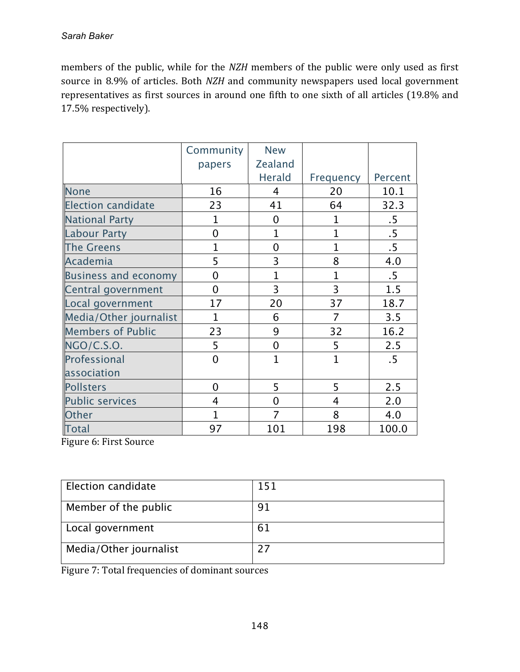members of the public, while for the *NZH* members of the public were only used as first source in 8.9% of articles. Both *NZH* and community newspapers used local government representatives as first sources in around one fifth to one sixth of all articles (19.8% and 17.5% respectively). 

|                             | Community      | <b>New</b>     |                |                 |
|-----------------------------|----------------|----------------|----------------|-----------------|
|                             | papers         | <b>Zealand</b> |                |                 |
|                             |                | <b>Herald</b>  | Frequency      | Percent         |
| <b>None</b>                 | 16             | 4              | 20             | 10.1            |
| <b>Election candidate</b>   | 23             | 41             | 64             | 32.3            |
| <b>National Party</b>       | 1              | $\mathbf 0$    | 1              | $.5\,$          |
| <b>Labour Party</b>         | $\overline{0}$ | $\overline{1}$ | 1              | .5              |
| <b>The Greens</b>           | $\overline{1}$ | $\overline{0}$ | $\overline{1}$ | $.5\phantom{0}$ |
| Academia                    | 5              | 3              | 8              | 4.0             |
| <b>Business and economy</b> | $\mathbf 0$    | $\mathbf{1}$   | 1              | $.5\,$          |
| Central government          | $\overline{0}$ | $\overline{3}$ | 3              | 1.5             |
| Local government            | 17             | 20             | 37             | 18.7            |
| Media/Other journalist      | $\mathbf{1}$   | 6              | 7              | 3.5             |
| <b>Members of Public</b>    | 23             | 9              | 32             | 16.2            |
| NGO/C.S.O.                  | 5              | $\overline{0}$ | 5              | 2.5             |
| Professional                | $\mathbf 0$    | $\overline{1}$ | $\overline{1}$ | $.5\,$          |
| association                 |                |                |                |                 |
| Pollsters                   | $\overline{0}$ | 5              | 5              | 2.5             |
| <b>Public services</b>      | 4              | $\overline{0}$ | 4              | 2.0             |
| Other                       | $\mathbf{1}$   | 7              | 8              | 4.0             |
| <b>Total</b>                | 97             | 101            | 198            | 100.0           |

Figure 6: First Source

| Election candidate     | 151 |
|------------------------|-----|
| Member of the public   |     |
| Local government       | 61  |
| Media/Other journalist |     |

Figure 7: Total frequencies of dominant sources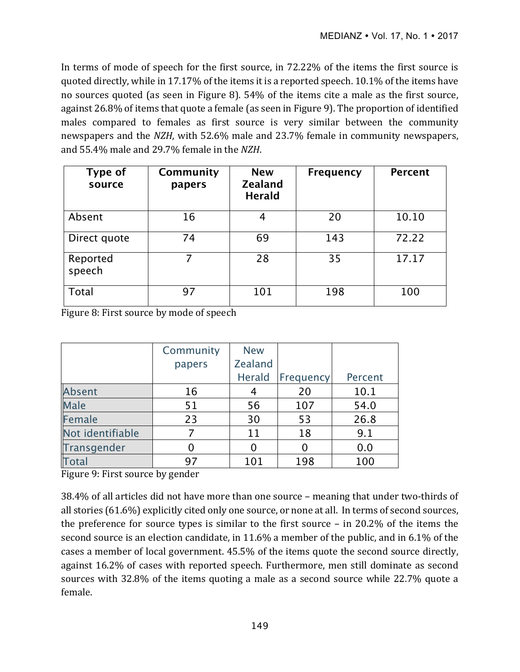In terms of mode of speech for the first source, in 72.22% of the items the first source is quoted directly, while in 17.17% of the items it is a reported speech. 10.1% of the items have no sources quoted (as seen in Figure 8). 54% of the items cite a male as the first source, against 26.8% of items that quote a female (as seen in Figure 9). The proportion of identified males compared to females as first source is very similar between the community newspapers and the *NZH*, with 52.6% male and 23.7% female in community newspapers, and 55.4% male and 29.7% female in the *NZH*.

| Type of<br>source  | Community<br>papers | <b>New</b><br><b>Zealand</b><br><b>Herald</b> | <b>Frequency</b> | <b>Percent</b> |
|--------------------|---------------------|-----------------------------------------------|------------------|----------------|
| Absent             | 16                  | 4                                             | 20               | 10.10          |
| Direct quote       | 74                  | 69                                            | 143              | 72.22          |
| Reported<br>speech |                     | 28                                            | 35               | 17.17          |
| Total              | 97                  | 101                                           | 198              | 100            |

Figure 8: First source by mode of speech

|                  | Community | <b>New</b>     |           |         |
|------------------|-----------|----------------|-----------|---------|
|                  | papers    | <b>Zealand</b> |           |         |
|                  |           | <b>Herald</b>  | Frequency | Percent |
| Absent           | 16        | 4              | 20        | 10.1    |
| <b>Male</b>      | 51        | 56             | 107       | 54.0    |
| Female           | 23        | 30             | 53        | 26.8    |
| Not identifiable |           | 11             | 18        | 9.1     |
| Transgender      | 0         | 0              |           | 0.0     |
| <b>Total</b>     | 97        | 101            | 198       | 100     |

Figure 9: First source by gender

38.4% of all articles did not have more than one source – meaning that under two-thirds of all stories  $(61.6\%)$  explicitly cited only one source, or none at all. In terms of second sources, the preference for source types is similar to the first source  $-$  in 20.2% of the items the second source is an election candidate, in  $11.6\%$  a member of the public, and in 6.1% of the cases a member of local government.  $45.5%$  of the items quote the second source directly, against 16.2% of cases with reported speech. Furthermore, men still dominate as second sources with 32.8% of the items quoting a male as a second source while 22.7% quote a female.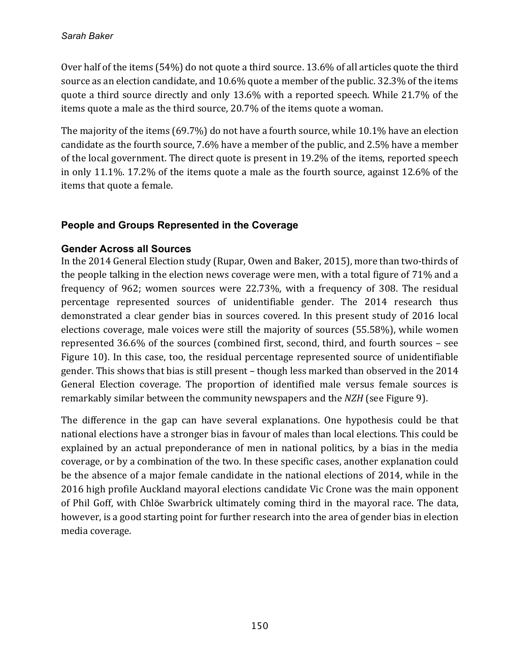Over half of the items  $(54%)$  do not quote a third source. 13.6% of all articles quote the third source as an election candidate, and 10.6% quote a member of the public. 32.3% of the items quote a third source directly and only 13.6% with a reported speech. While 21.7% of the items quote a male as the third source, 20.7% of the items quote a woman.

The majority of the items  $(69.7%)$  do not have a fourth source, while 10.1% have an election candidate as the fourth source, 7.6% have a member of the public, and 2.5% have a member of the local government. The direct quote is present in 19.2% of the items, reported speech in only 11.1%. 17.2% of the items quote a male as the fourth source, against  $12.6\%$  of the items that quote a female.

# **People and Groups Represented in the Coverage**

# **Gender Across all Sources**

In the 2014 General Election study (Rupar, Owen and Baker, 2015), more than two-thirds of the people talking in the election news coverage were men, with a total figure of 71% and a frequency of 962; women sources were 22.73%, with a frequency of 308. The residual percentage represented sources of unidentifiable gender. The 2014 research thus demonstrated a clear gender bias in sources covered. In this present study of 2016 local elections coverage, male voices were still the majority of sources (55.58%), while women represented  $36.6\%$  of the sources (combined first, second, third, and fourth sources - see Figure 10). In this case, too, the residual percentage represented source of unidentifiable gender. This shows that bias is still present – though less marked than observed in the 2014 General Election coverage. The proportion of identified male versus female sources is remarkably similar between the community newspapers and the *NZH* (see Figure 9).

The difference in the gap can have several explanations. One hypothesis could be that national elections have a stronger bias in favour of males than local elections. This could be explained by an actual preponderance of men in national politics, by a bias in the media coverage, or by a combination of the two. In these specific cases, another explanation could be the absence of a major female candidate in the national elections of 2014, while in the 2016 high profile Auckland mayoral elections candidate Vic Crone was the main opponent of Phil Goff, with Chlöe Swarbrick ultimately coming third in the mayoral race. The data, however, is a good starting point for further research into the area of gender bias in election media coverage.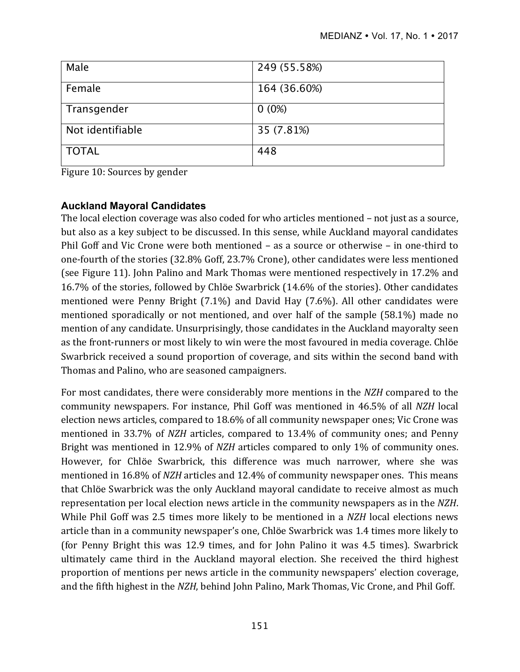| Male             | 249 (55.58%) |
|------------------|--------------|
| Female           | 164 (36.60%) |
| Transgender      | $0(0\%)$     |
| Not identifiable | 35 (7.81%)   |
| <b>TOTAL</b>     | 448          |

Figure 10: Sources by gender

# **Auckland Mayoral Candidates**

The local election coverage was also coded for who articles mentioned - not just as a source, but also as a key subject to be discussed. In this sense, while Auckland mayoral candidates Phil Goff and Vic Crone were both mentioned  $-$  as a source or otherwise  $-$  in one-third to one-fourth of the stories  $(32.8\% \text{ Goff}, 23.7\% \text{ Crone})$ , other candidates were less mentioned (see Figure 11). John Palino and Mark Thomas were mentioned respectively in 17.2% and 16.7% of the stories, followed by Chlöe Swarbrick (14.6% of the stories). Other candidates mentioned were Penny Bright  $(7.1\%)$  and David Hay  $(7.6\%)$ . All other candidates were mentioned sporadically or not mentioned, and over half of the sample  $(58.1\%)$  made no mention of any candidate. Unsurprisingly, those candidates in the Auckland mayoralty seen as the front-runners or most likely to win were the most favoured in media coverage. Chlöe Swarbrick received a sound proportion of coverage, and sits within the second band with Thomas and Palino, who are seasoned campaigners.

For most candidates, there were considerably more mentions in the *NZH* compared to the community newspapers. For instance, Phil Goff was mentioned in 46.5% of all *NZH* local election news articles, compared to 18.6% of all community newspaper ones; Vic Crone was mentioned in 33.7% of *NZH* articles, compared to 13.4% of community ones; and Penny Bright was mentioned in 12.9% of *NZH* articles compared to only 1% of community ones. However, for Chlöe Swarbrick, this difference was much narrower, where she was mentioned in 16.8% of *NZH* articles and 12.4% of community newspaper ones. This means that Chlöe Swarbrick was the only Auckland mayoral candidate to receive almost as much representation per local election news article in the community newspapers as in the NZH. While Phil Goff was 2.5 times more likely to be mentioned in a *NZH* local elections news article than in a community newspaper's one, Chlöe Swarbrick was 1.4 times more likely to (for Penny Bright this was 12.9 times, and for John Palino it was 4.5 times). Swarbrick ultimately came third in the Auckland mayoral election. She received the third highest proportion of mentions per news article in the community newspapers' election coverage, and the fifth highest in the *NZH*, behind John Palino, Mark Thomas, Vic Crone, and Phil Goff.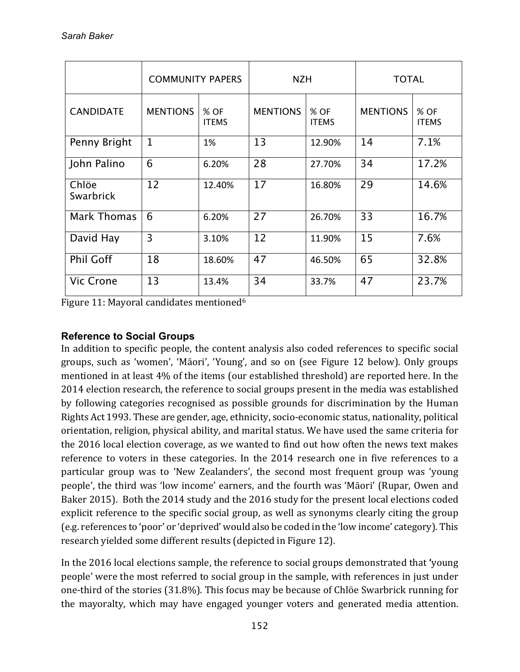|                    | <b>COMMUNITY PAPERS</b> |                      | <b>NZH</b>      |                      | <b>TOTAL</b>    |                      |
|--------------------|-------------------------|----------------------|-----------------|----------------------|-----------------|----------------------|
| <b>CANDIDATE</b>   | <b>MENTIONS</b>         | % OF<br><b>ITEMS</b> | <b>MENTIONS</b> | % OF<br><b>ITEMS</b> | <b>MENTIONS</b> | % OF<br><b>ITEMS</b> |
| Penny Bright       | $\mathbf{1}$            | 1%                   | 13              | 12.90%               | 14              | 7.1%                 |
| John Palino        | 6                       | 6.20%                | 28              | 27.70%               | 34              | 17.2%                |
| Chlöe<br>Swarbrick | 12                      | 12.40%               | 17              | 16.80%               | 29              | 14.6%                |
| <b>Mark Thomas</b> | 6                       | 6.20%                | 27              | 26.70%               | 33              | 16.7%                |
| David Hay          | 3                       | 3.10%                | 12              | 11.90%               | 15              | 7.6%                 |
| <b>Phil Goff</b>   | 18                      | 18.60%               | 47              | 46.50%               | 65              | 32.8%                |
| Vic Crone          | 13                      | 13.4%                | 34              | 33.7%                | 47              | 23.7%                |

Figure 11: Mayoral candidates mentioned<sup>6</sup>

# **Reference to Social Groups**

In addition to specific people, the content analysis also coded references to specific social groups, such as 'women', 'Māori', 'Young', and so on (see Figure 12 below). Only groups mentioned in at least  $4\%$  of the items (our established threshold) are reported here. In the 2014 election research, the reference to social groups present in the media was established by following categories recognised as possible grounds for discrimination by the Human Rights Act 1993. These are gender, age, ethnicity, socio-economic status, nationality, political orientation, religion, physical ability, and marital status. We have used the same criteria for the 2016 local election coverage, as we wanted to find out how often the news text makes reference to voters in these categories. In the 2014 research one in five references to a particular group was to 'New Zealanders', the second most frequent group was 'young people', the third was 'low income' earners, and the fourth was 'Māori' (Rupar, Owen and Baker 2015). Both the 2014 study and the 2016 study for the present local elections coded explicit reference to the specific social group, as well as synonyms clearly citing the group (e.g. references to 'poor' or 'deprived' would also be coded in the 'low income' category). This research yielded some different results (depicted in Figure 12).

In the 2016 local elections sample, the reference to social groups demonstrated that 'young people' were the most referred to social group in the sample, with references in just under one-third of the stories  $(31.8\%)$ . This focus may be because of Chlöe Swarbrick running for the mayoralty, which may have engaged younger voters and generated media attention.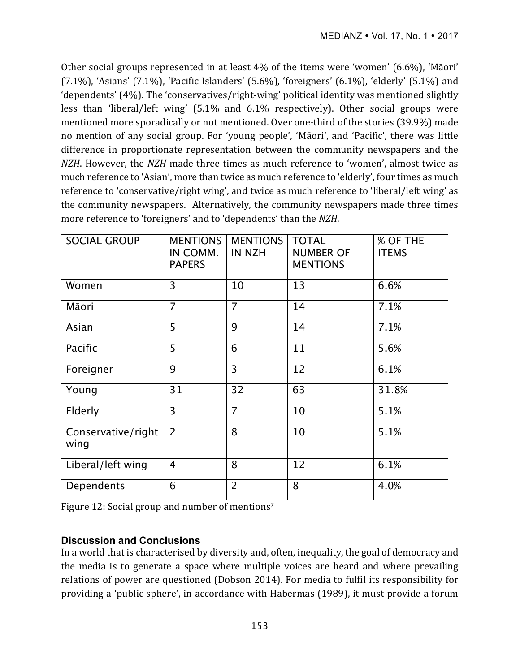Other social groups represented in at least  $4\%$  of the items were 'women' (6.6%), 'Māori'  $(7.1\%)$ , 'Asians'  $(7.1\%)$ , 'Pacific Islanders'  $(5.6\%)$ , 'foreigners'  $(6.1\%)$ , 'elderly'  $(5.1\%)$  and 'dependents'  $(4%)$ . The 'conservatives/right-wing' political identity was mentioned slightly less than 'liberal/left wing' (5.1% and 6.1% respectively). Other social groups were mentioned more sporadically or not mentioned. Over one-third of the stories (39.9%) made no mention of any social group. For 'young people', 'Māori', and 'Pacific', there was little difference in proportionate representation between the community newspapers and the *NZH*. However, the *NZH* made three times as much reference to 'women', almost twice as much reference to 'Asian', more than twice as much reference to 'elderly', four times as much reference to 'conservative/right wing', and twice as much reference to 'liberal/left wing' as the community newspapers. Alternatively, the community newspapers made three times more reference to 'foreigners' and to 'dependents' than the *NZH*.

| <b>SOCIAL GROUP</b>        | <b>MENTIONS</b><br>IN COMM.<br><b>PAPERS</b> | <b>MENTIONS</b><br><b>IN NZH</b> | <b>TOTAL</b><br><b>NUMBER OF</b><br><b>MENTIONS</b> | % OF THE<br><b>ITEMS</b> |
|----------------------------|----------------------------------------------|----------------------------------|-----------------------------------------------------|--------------------------|
| Women                      | 3                                            | 10                               | 13                                                  | 6.6%                     |
| Māori                      | $\overline{7}$                               | $\overline{7}$                   | 14                                                  | 7.1%                     |
| Asian                      | 5                                            | 9                                | 14                                                  | 7.1%                     |
| Pacific                    | 5                                            | 6                                | 11                                                  | 5.6%                     |
| Foreigner                  | 9                                            | $\overline{3}$                   | 12                                                  | 6.1%                     |
| Young                      | 31                                           | 32                               | 63                                                  | 31.8%                    |
| Elderly                    | 3                                            | 7                                | 10                                                  | 5.1%                     |
| Conservative/right<br>wing | $\overline{2}$                               | 8                                | 10                                                  | 5.1%                     |
| Liberal/left wing          | 4                                            | 8                                | 12                                                  | 6.1%                     |
| Dependents                 | 6                                            | $\overline{2}$                   | 8                                                   | 4.0%                     |

Figure 12: Social group and number of mentions<sup>7</sup>

# **Discussion and Conclusions**

In a world that is characterised by diversity and, often, inequality, the goal of democracy and the media is to generate a space where multiple voices are heard and where prevailing relations of power are questioned (Dobson 2014). For media to fulfil its responsibility for providing a 'public sphere', in accordance with Habermas (1989), it must provide a forum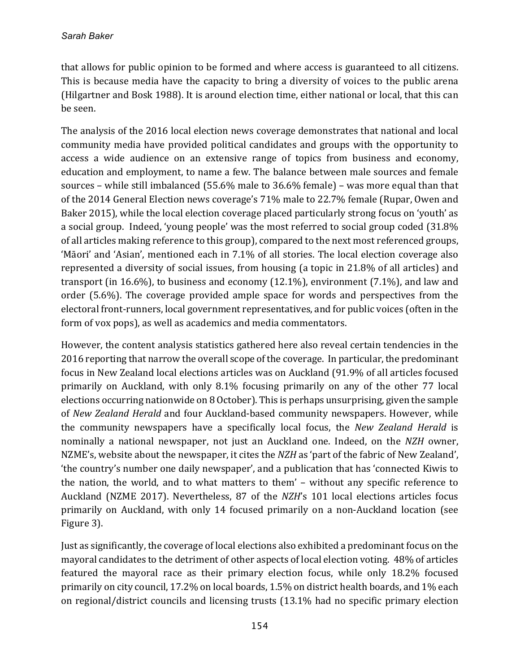that allows for public opinion to be formed and where access is guaranteed to all citizens. This is because media have the capacity to bring a diversity of voices to the public arena (Hilgartner and Bosk 1988). It is around election time, either national or local, that this can be seen.

The analysis of the 2016 local election news coverage demonstrates that national and local community media have provided political candidates and groups with the opportunity to access a wide audience on an extensive range of topics from business and economy, education and employment, to name a few. The balance between male sources and female sources – while still imbalanced  $(55.6\%$  male to  $36.6\%$  female) – was more equal than that of the 2014 General Election news coverage's 71% male to 22.7% female (Rupar, Owen and Baker 2015), while the local election coverage placed particularly strong focus on 'youth' as a social group. Indeed, 'young people' was the most referred to social group coded (31.8%) of all articles making reference to this group), compared to the next most referenced groups, 'Māori' and 'Asian', mentioned each in 7.1% of all stories. The local election coverage also represented a diversity of social issues, from housing (a topic in 21.8% of all articles) and transport (in 16.6%), to business and economy  $(12.1\%)$ , environment  $(7.1\%)$ , and law and order (5.6%). The coverage provided ample space for words and perspectives from the electoral front-runners, local government representatives, and for public voices (often in the form of vox pops), as well as academics and media commentators.

However, the content analysis statistics gathered here also reveal certain tendencies in the 2016 reporting that narrow the overall scope of the coverage. In particular, the predominant focus in New Zealand local elections articles was on Auckland (91.9% of all articles focused primarily on Auckland, with only 8.1% focusing primarily on any of the other 77 local elections occurring nationwide on 8 October). This is perhaps unsurprising, given the sample of *New Zealand Herald* and four Auckland-based community newspapers. However, while the community newspapers have a specifically local focus, the *New Zealand Herald* is nominally a national newspaper, not just an Auckland one. Indeed, on the *NZH* owner, NZME's, website about the newspaper, it cites the *NZH* as 'part of the fabric of New Zealand', 'the country's number one daily newspaper', and a publication that has 'connected Kiwis to the nation, the world, and to what matters to them' - without any specific reference to Auckland (NZME 2017). Nevertheless, 87 of the *NZH's* 101 local elections articles focus primarily on Auckland, with only 14 focused primarily on a non-Auckland location (see Figure 3). 

Just as significantly, the coverage of local elections also exhibited a predominant focus on the mayoral candidates to the detriment of other aspects of local election voting. 48% of articles featured the mayoral race as their primary election focus, while only 18.2% focused primarily on city council, 17.2% on local boards, 1.5% on district health boards, and 1% each on regional/district councils and licensing trusts (13.1% had no specific primary election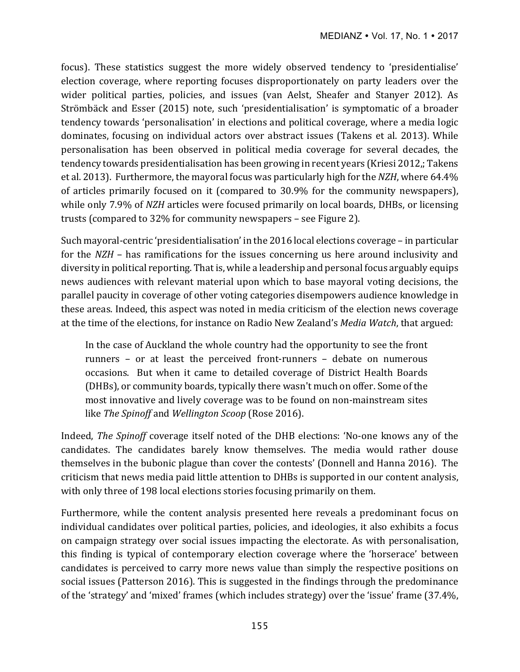focus). These statistics suggest the more widely observed tendency to 'presidentialise' election coverage, where reporting focuses disproportionately on party leaders over the wider political parties, policies, and issues (van Aelst, Sheafer and Stanyer 2012). As Strömbäck and Esser (2015) note, such 'presidentialisation' is symptomatic of a broader tendency towards 'personalisation' in elections and political coverage, where a media logic dominates, focusing on individual actors over abstract issues (Takens et al. 2013). While personalisation has been observed in political media coverage for several decades, the tendency towards presidentialisation has been growing in recent years (Kriesi 2012,; Takens et al. 2013). Furthermore, the mayoral focus was particularly high for the NZH, where 64.4% of articles primarily focused on it (compared to 30.9% for the community newspapers), while only 7.9% of *NZH* articles were focused primarily on local boards, DHBs, or licensing trusts (compared to  $32\%$  for community newspapers – see Figure 2).

Such mayoral-centric 'presidentialisation' in the 2016 local elections coverage – in particular for the *NZH* – has ramifications for the issues concerning us here around inclusivity and diversity in political reporting. That is, while a leadership and personal focus arguably equips news audiences with relevant material upon which to base mayoral voting decisions, the parallel paucity in coverage of other voting categories disempowers audience knowledge in these areas. Indeed, this aspect was noted in media criticism of the election news coverage at the time of the elections, for instance on Radio New Zealand's *Media Watch*, that argued:

In the case of Auckland the whole country had the opportunity to see the front runners - or at least the perceived front-runners - debate on numerous occasions. But when it came to detailed coverage of District Health Boards (DHBs), or community boards, typically there wasn't much on offer. Some of the most innovative and lively coverage was to be found on non-mainstream sites like *The Spinoff* and *Wellington Scoop* (Rose 2016).

Indeed, *The Spinoff* coverage itself noted of the DHB elections: 'No-one knows any of the candidates. The candidates barely know themselves. The media would rather douse themselves in the bubonic plague than cover the contests' (Donnell and Hanna 2016). The criticism that news media paid little attention to DHBs is supported in our content analysis, with only three of 198 local elections stories focusing primarily on them.

Furthermore, while the content analysis presented here reveals a predominant focus on individual candidates over political parties, policies, and ideologies, it also exhibits a focus on campaign strategy over social issues impacting the electorate. As with personalisation, this finding is typical of contemporary election coverage where the 'horserace' between candidates is perceived to carry more news value than simply the respective positions on social issues (Patterson 2016). This is suggested in the findings through the predominance of the 'strategy' and 'mixed' frames (which includes strategy) over the 'issue' frame  $(37.4\%$ ,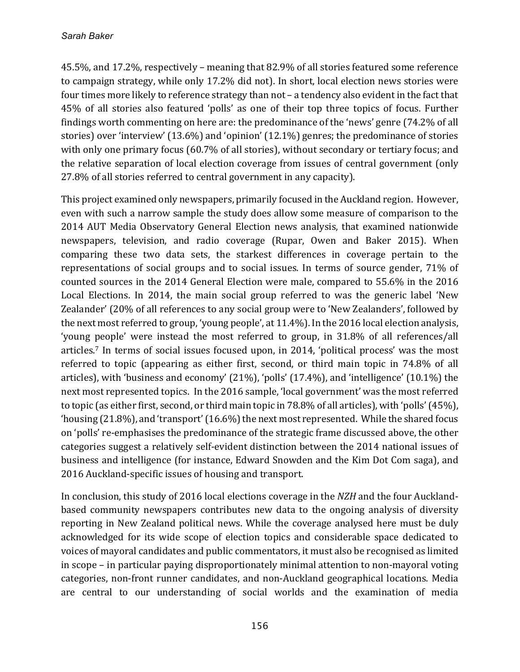45.5%, and 17.2%, respectively – meaning that 82.9% of all stories featured some reference to campaign strategy, while only 17.2% did not). In short, local election news stories were four times more likely to reference strategy than not – a tendency also evident in the fact that 45% of all stories also featured 'polls' as one of their top three topics of focus. Further findings worth commenting on here are: the predominance of the 'news' genre (74.2% of all stories) over 'interview'  $(13.6\%)$  and 'opinion'  $(12.1\%)$  genres; the predominance of stories with only one primary focus (60.7% of all stories), without secondary or tertiary focus; and the relative separation of local election coverage from issues of central government (only 27.8% of all stories referred to central government in any capacity).

This project examined only newspapers, primarily focused in the Auckland region. However, even with such a narrow sample the study does allow some measure of comparison to the 2014 AUT Media Observatory General Election news analysis, that examined nationwide newspapers, television, and radio coverage (Rupar, Owen and Baker 2015). When comparing these two data sets, the starkest differences in coverage pertain to the representations of social groups and to social issues. In terms of source gender, 71% of counted sources in the 2014 General Election were male, compared to 55.6% in the 2016 Local Elections. In 2014, the main social group referred to was the generic label 'New Zealander' (20% of all references to any social group were to 'New Zealanders', followed by the next most referred to group, 'young people', at  $11.4\%$ ). In the 2016 local election analysis, 'young people' were instead the most referred to group, in 31.8% of all references/all articles.<sup>7</sup> In terms of social issues focused upon, in 2014, 'political process' was the most referred to topic (appearing as either first, second, or third main topic in 74.8% of all articles), with 'business and economy'  $(21\%)$ , 'polls'  $(17.4\%)$ , and 'intelligence'  $(10.1\%)$  the next most represented topics. In the 2016 sample, 'local government' was the most referred to topic (as either first, second, or third main topic in  $78.8\%$  of all articles), with 'polls' (45%), 'housing  $(21.8\%)$ , and 'transport'  $(16.6\%)$  the next most represented. While the shared focus on 'polls' re-emphasises the predominance of the strategic frame discussed above, the other categories suggest a relatively self-evident distinction between the 2014 national issues of business and intelligence (for instance, Edward Snowden and the Kim Dot Com saga), and 2016 Auckland-specific issues of housing and transport.

In conclusion, this study of 2016 local elections coverage in the *NZH* and the four Aucklandbased community newspapers contributes new data to the ongoing analysis of diversity reporting in New Zealand political news. While the coverage analysed here must be duly acknowledged for its wide scope of election topics and considerable space dedicated to voices of mayoral candidates and public commentators, it must also be recognised as limited in scope – in particular paying disproportionately minimal attention to non-mayoral voting categories, non-front runner candidates, and non-Auckland geographical locations. Media are central to our understanding of social worlds and the examination of media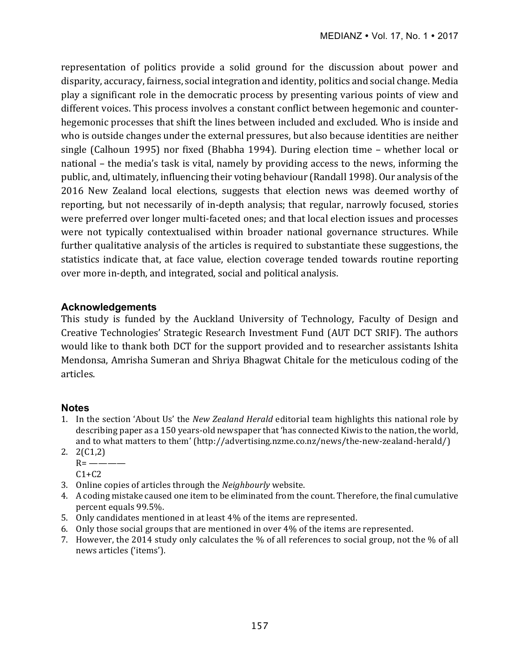representation of politics provide a solid ground for the discussion about power and disparity, accuracy, fairness, social integration and identity, politics and social change. Media play a significant role in the democratic process by presenting various points of view and different voices. This process involves a constant conflict between hegemonic and counterhegemonic processes that shift the lines between included and excluded. Who is inside and who is outside changes under the external pressures, but also because identities are neither single (Calhoun 1995) nor fixed (Bhabha 1994). During election time - whether local or national – the media's task is vital, namely by providing access to the news, informing the public, and, ultimately, influencing their voting behaviour (Randall 1998). Our analysis of the 2016 New Zealand local elections, suggests that election news was deemed worthy of reporting, but not necessarily of in-depth analysis; that regular, narrowly focused, stories were preferred over longer multi-faceted ones; and that local election issues and processes were not typically contextualised within broader national governance structures. While further qualitative analysis of the articles is required to substantiate these suggestions, the statistics indicate that, at face value, election coverage tended towards routine reporting over more in-depth, and integrated, social and political analysis.

#### **Acknowledgements**

This study is funded by the Auckland University of Technology, Faculty of Design and Creative Technologies' Strategic Research Investment Fund (AUT DCT SRIF). The authors would like to thank both DCT for the support provided and to researcher assistants Ishita Mendonsa, Amrisha Sumeran and Shriya Bhagwat Chitale for the meticulous coding of the articles.

#### **Notes**

- 1. In the section 'About Us' the *New Zealand Herald* editorial team highlights this national role by describing paper as a 150 years-old newspaper that 'has connected Kiwis to the nation, the world, and to what matters to them' (http://advertising.nzme.co.nz/news/the-new-zealand-herald/)
- 2. 2(C1,2)
	- $R =$ ————  $C1+C2$
- 3. Online copies of articles through the *Neighbourly* website.
- 4. A coding mistake caused one item to be eliminated from the count. Therefore, the final cumulative percent equals 99.5%.
- 5. Only candidates mentioned in at least 4% of the items are represented.
- 6. Only those social groups that are mentioned in over  $4\%$  of the items are represented.
- 7. However, the 2014 study only calculates the  $\%$  of all references to social group, not the  $\%$  of all news articles ('items').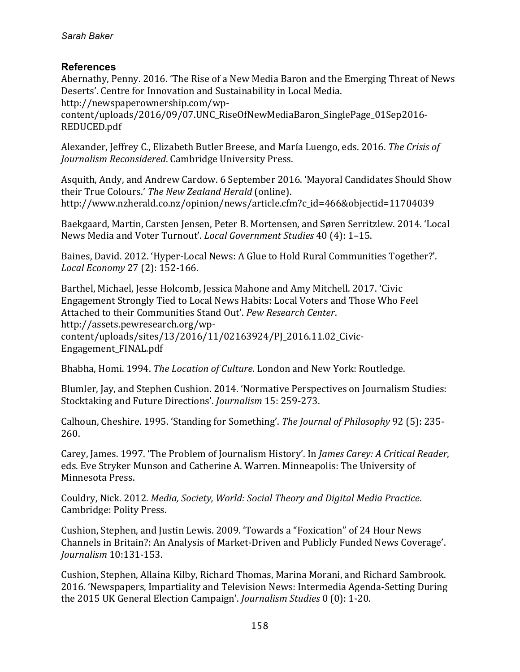#### **References**

Abernathy, Penny. 2016. 'The Rise of a New Media Baron and the Emerging Threat of News Deserts'. Centre for Innovation and Sustainability in Local Media. http://newspaperownership.com/wp-

content/uploads/2016/09/07.UNC\_RiseOfNewMediaBaron\_SinglePage\_01Sep2016- REDUCED.pdf

Alexander, Jeffrey C., Elizabeth Butler Breese, and María Luengo, eds. 2016. The Crisis of *Journalism Reconsidered. Cambridge University Press.* 

Asquith, Andy, and Andrew Cardow. 6 September 2016. 'Mayoral Candidates Should Show their True Colours.' The New Zealand Herald (online). http://www.nzherald.co.nz/opinion/news/article.cfm?c\_id=466&objectid=11704039

Baekgaard, Martin, Carsten Jensen, Peter B. Mortensen, and Søren Serritzlew. 2014. 'Local News Media and Voter Turnout'. *Local Government Studies* 40 (4): 1-15.

Baines, David. 2012. 'Hyper-Local News: A Glue to Hold Rural Communities Together?'. *Local Economy* 27 (2): 152-166.

Barthel, Michael, Jesse Holcomb, Jessica Mahone and Amy Mitchell. 2017. 'Civic Engagement Strongly Tied to Local News Habits: Local Voters and Those Who Feel Attached to their Communities Stand Out'. Pew Research Center. http://assets.pewresearch.org/wpcontent/uploads/sites/13/2016/11/02163924/PJ\_2016.11.02\_Civic-Engagement\_FINAL.pdf

Bhabha, Homi. 1994. *The Location of Culture*. London and New York: Routledge.

Blumler, Jay, and Stephen Cushion. 2014. 'Normative Perspectives on Journalism Studies: Stocktaking and Future Directions'. *Journalism* 15: 259-273.

Calhoun, Cheshire. 1995. 'Standing for Something'. *The Journal of Philosophy* 92 (5): 235-260.

Carey, James. 1997. 'The Problem of Journalism History'. In *James Carey: A Critical Reader*, eds. Eve Stryker Munson and Catherine A. Warren. Minneapolis: The University of Minnesota Press. 

Couldry, Nick. 2012. *Media, Society, World: Social Theory and Digital Media Practice.* Cambridge: Polity Press.

Cushion, Stephen, and Justin Lewis. 2009. 'Towards a "Foxication" of 24 Hour News Channels in Britain?: An Analysis of Market-Driven and Publicly Funded News Coverage'. *Journalism* 10:131-153.

Cushion, Stephen, Allaina Kilby, Richard Thomas, Marina Morani, and Richard Sambrook. 2016. 'Newspapers, Impartiality and Television News: Intermedia Agenda-Setting During the 2015 UK General Election Campaign'. *Journalism Studies* 0 (0): 1-20.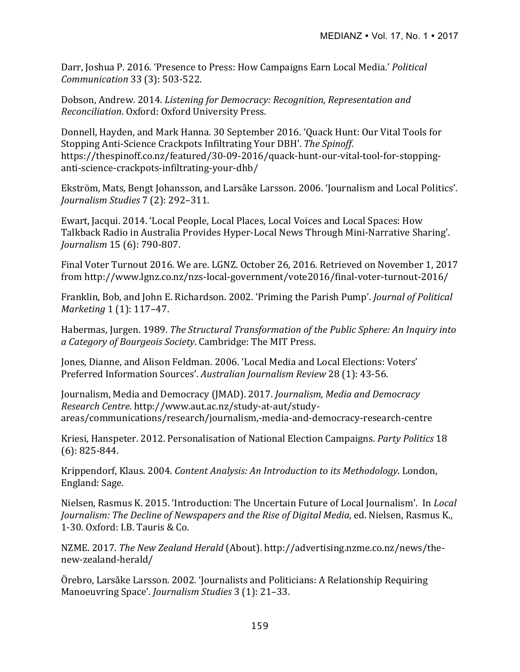Darr, Joshua P. 2016. 'Presence to Press: How Campaigns Earn Local Media.' *Political Communication* 33 (3): 503-522.

Dobson, Andrew. 2014. *Listening for Democracy: Recognition, Representation and Reconciliation*. Oxford: Oxford University Press.

Donnell, Hayden, and Mark Hanna. 30 September 2016. 'Quack Hunt: Our Vital Tools for Stopping Anti-Science Crackpots Infiltrating Your DBH'. The Spinoff. https://thespinoff.co.nz/featured/30-09-2016/quack-hunt-our-vital-tool-for-stoppinganti-science-crackpots-infiltrating-your-dhb/ 

Ekström, Mats, Bengt Johansson, and Larsåke Larsson. 2006. 'Journalism and Local Politics'. *Journalism Studies* 7 (2): 292–311.

Ewart, Jacqui. 2014. 'Local People, Local Places, Local Voices and Local Spaces: How Talkback Radio in Australia Provides Hyper-Local News Through Mini-Narrative Sharing'. *Journalism* 15 (6): 790-807.

Final Voter Turnout 2016. We are. LGNZ. October 26, 2016. Retrieved on November 1, 2017 from http://www.lgnz.co.nz/nzs-local-government/vote2016/final-voter-turnout-2016/

Franklin, Bob, and John E. Richardson. 2002. 'Priming the Parish Pump'. *Journal of Political Marketing* 1 (1): 117-47.

Habermas, Jurgen. 1989. *The Structural Transformation of the Public Sphere: An Inquiry into a Category of Bourgeois Society*. Cambridge: The MIT Press.

Jones, Dianne, and Alison Feldman. 2006. 'Local Media and Local Elections: Voters' Preferred Information Sources'. Australian Journalism Review 28 (1): 43-56.

Journalism, Media and Democracy (JMAD). 2017. *Journalism, Media and Democracy Research Centre*. http://www.aut.ac.nz/study-at-aut/studyareas/communications/research/journalism,-media-and-democracy-research-centre

Kriesi, Hanspeter. 2012. Personalisation of National Election Campaigns. *Party Politics* 18  $(6): 825 - 844.$ 

Krippendorf, Klaus. 2004. *Content Analysis: An Introduction to its Methodology*. London, England: Sage.

Nielsen, Rasmus K. 2015. 'Introduction: The Uncertain Future of Local Journalism'. In *Local Journalism: The Decline of Newspapers and the Rise of Digital Media, ed. Nielsen, Rasmus K.,* 1-30. Oxford: I.B. Tauris & Co.

NZME. 2017. *The New Zealand Herald* (About). http://advertising.nzme.co.nz/news/thenew-zealand-herald/

Örebro, Larsåke Larsson. 2002. 'Journalists and Politicians: A Relationship Requiring Manoeuvring Space'. *Journalism Studies* 3 (1): 21-33.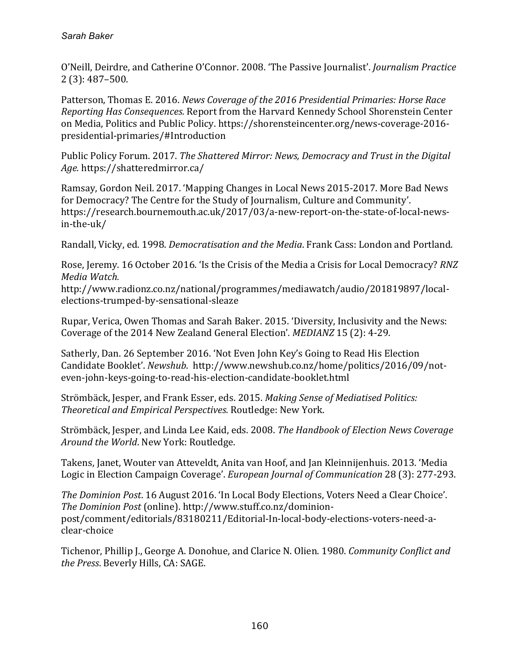O'Neill, Deirdre, and Catherine O'Connor. 2008. 'The Passive Journalist'. *Journalism Practice* 2 (3): 487–500.

Patterson, Thomas E. 2016. *News Coverage of the 2016 Presidential Primaries: Horse Race Reporting Has Consequences.* Report from the Harvard Kennedy School Shorenstein Center on Media, Politics and Public Policy. https://shorensteincenter.org/news-coverage-2016presidential-primaries/#Introduction

Public Policy Forum. 2017. *The Shattered Mirror: News, Democracy and Trust in the Digital Age.* https://shatteredmirror.ca/

Ramsay, Gordon Neil. 2017. 'Mapping Changes in Local News 2015-2017. More Bad News for Democracy? The Centre for the Study of Journalism, Culture and Community'. https://research.bournemouth.ac.uk/2017/03/a-new-report-on-the-state-of-local-newsin-the-uk/

Randall, Vicky, ed. 1998. *Democratisation and the Media*. Frank Cass: London and Portland.

Rose, Jeremy. 16 October 2016. 'Is the Crisis of the Media a Crisis for Local Democracy? *RNZ Media Watch.* 

http://www.radionz.co.nz/national/programmes/mediawatch/audio/201819897/localelections-trumped-by-sensational-sleaze

Rupar, Verica, Owen Thomas and Sarah Baker. 2015. 'Diversity, Inclusivity and the News: Coverage of the 2014 New Zealand General Election'. *MEDIANZ* 15 (2): 4-29.

Satherly, Dan. 26 September 2016. 'Not Even John Key's Going to Read His Election Candidate Booklet'. *Newshub.* http://www.newshub.co.nz/home/politics/2016/09/noteven-john-keys-going-to-read-his-election-candidate-booklet.html

Strömbäck, Jesper, and Frank Esser, eds. 2015. *Making Sense of Mediatised Politics: Theoretical and Empirical Perspectives.* Routledge: New York.

Strömbäck, Jesper, and Linda Lee Kaid, eds. 2008. *The Handbook of Election News Coverage Around the World*. New York: Routledge.

Takens, Janet, Wouter van Atteveldt, Anita van Hoof, and Jan Kleinnijenhuis. 2013. 'Media Logic in Election Campaign Coverage'. *European Journal of Communication* 28 (3): 277-293.

*The Dominion Post.* 16 August 2016. 'In Local Body Elections, Voters Need a Clear Choice'. The Dominion Post (online). http://www.stuff.co.nz/dominionpost/comment/editorials/83180211/Editorial-In-local-body-elections-voters-need-aclear-choice

Tichenor, Phillip J., George A. Donohue, and Clarice N. Olien. 1980. *Community Conflict and* the Press. Beverly Hills, CA: SAGE.